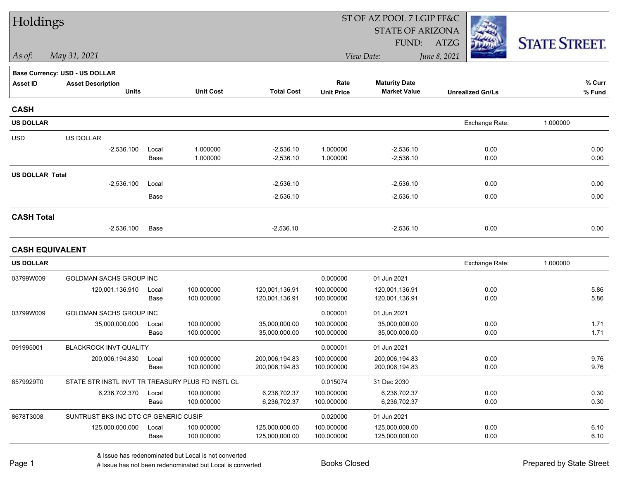| Holdings               |                                                   |               |                          |                                  |                           | ST OF AZ POOL 7 LGIP FF&C                   |                         |                      |
|------------------------|---------------------------------------------------|---------------|--------------------------|----------------------------------|---------------------------|---------------------------------------------|-------------------------|----------------------|
|                        |                                                   |               |                          |                                  |                           | <b>STATE OF ARIZONA</b>                     |                         |                      |
|                        |                                                   |               |                          |                                  |                           | FUND:                                       | ATZG                    | <b>STATE STREET.</b> |
| As of:                 | May 31, 2021                                      |               |                          |                                  |                           | View Date:                                  | June 8, 2021            |                      |
|                        | <b>Base Currency: USD - US DOLLAR</b>             |               |                          |                                  |                           |                                             |                         |                      |
| <b>Asset ID</b>        | <b>Asset Description</b><br><b>Units</b>          |               | <b>Unit Cost</b>         | <b>Total Cost</b>                | Rate<br><b>Unit Price</b> | <b>Maturity Date</b><br><b>Market Value</b> | <b>Unrealized Gn/Ls</b> | % Curr<br>% Fund     |
|                        |                                                   |               |                          |                                  |                           |                                             |                         |                      |
| <b>CASH</b>            |                                                   |               |                          |                                  |                           |                                             |                         |                      |
| <b>US DOLLAR</b>       |                                                   |               |                          |                                  |                           |                                             | Exchange Rate:          | 1.000000             |
| <b>USD</b>             | US DOLLAR                                         |               |                          |                                  |                           |                                             |                         |                      |
|                        | $-2,536.100$                                      | Local<br>Base | 1.000000<br>1.000000     | $-2,536.10$<br>$-2,536.10$       | 1.000000<br>1.000000      | $-2,536.10$<br>$-2,536.10$                  | 0.00<br>0.00            | 0.00<br>0.00         |
|                        |                                                   |               |                          |                                  |                           |                                             |                         |                      |
| <b>US DOLLAR Total</b> | $-2,536.100$                                      | Local         |                          | $-2,536.10$                      |                           | $-2,536.10$                                 | 0.00                    | 0.00                 |
|                        |                                                   | Base          |                          | $-2,536.10$                      |                           | $-2,536.10$                                 | 0.00                    | 0.00                 |
|                        |                                                   |               |                          |                                  |                           |                                             |                         |                      |
| <b>CASH Total</b>      |                                                   |               |                          |                                  |                           |                                             |                         |                      |
|                        | $-2,536.100$                                      | Base          |                          | $-2,536.10$                      |                           | $-2,536.10$                                 | 0.00                    | 0.00                 |
| <b>CASH EQUIVALENT</b> |                                                   |               |                          |                                  |                           |                                             |                         |                      |
| <b>US DOLLAR</b>       |                                                   |               |                          |                                  |                           |                                             | Exchange Rate:          | 1.000000             |
| 03799W009              | <b>GOLDMAN SACHS GROUP INC</b>                    |               |                          |                                  | 0.000000                  | 01 Jun 2021                                 |                         |                      |
|                        | 120,001,136.910                                   | Local         | 100.000000               | 120,001,136.91                   | 100.000000                | 120,001,136.91                              | 0.00                    | 5.86                 |
|                        |                                                   | Base          | 100.000000               | 120,001,136.91                   | 100.000000                | 120,001,136.91                              | 0.00                    | 5.86                 |
| 03799W009              | GOLDMAN SACHS GROUP INC                           |               |                          |                                  | 0.000001                  | 01 Jun 2021                                 |                         |                      |
|                        | 35,000,000.000                                    | Local<br>Base | 100.000000<br>100.000000 | 35,000,000.00<br>35,000,000.00   | 100.000000<br>100.000000  | 35,000,000.00<br>35,000,000.00              | 0.00<br>0.00            | 1.71<br>1.71         |
| 091995001              | <b>BLACKROCK INVT QUALITY</b>                     |               |                          |                                  | 0.000001                  | 01 Jun 2021                                 |                         |                      |
|                        | 200,006,194.830                                   | Local         | 100.000000               | 200.006.194.83                   | 100.000000                | 200,006,194.83                              | 0.00                    | 9.76                 |
|                        |                                                   | Base          | 100.000000               | 200,006,194.83                   | 100.000000                | 200,006,194.83                              | 0.00                    | 9.76                 |
| 8579929T0              | STATE STR INSTL INVT TR TREASURY PLUS FD INSTL CL |               |                          |                                  | 0.015074                  | 31 Dec 2030                                 |                         |                      |
|                        | 6,236,702.370                                     | Local         | 100.000000               | 6,236,702.37                     | 100.000000                | 6,236,702.37                                | 0.00                    | 0.30                 |
|                        |                                                   | Base          | 100.000000               | 6,236,702.37                     | 100.000000                | 6,236,702.37                                | 0.00                    | 0.30                 |
| 8678T3008              | SUNTRUST BKS INC DTC CP GENERIC CUSIP             |               |                          |                                  | 0.020000                  | 01 Jun 2021                                 |                         |                      |
|                        | 125,000,000.000                                   | Local<br>Base | 100.000000<br>100.000000 | 125,000,000.00<br>125,000,000.00 | 100.000000<br>100.000000  | 125,000,000.00<br>125,000,000.00            | 0.00<br>0.00            | 6.10<br>6.10         |
|                        |                                                   |               |                          |                                  |                           |                                             |                         |                      |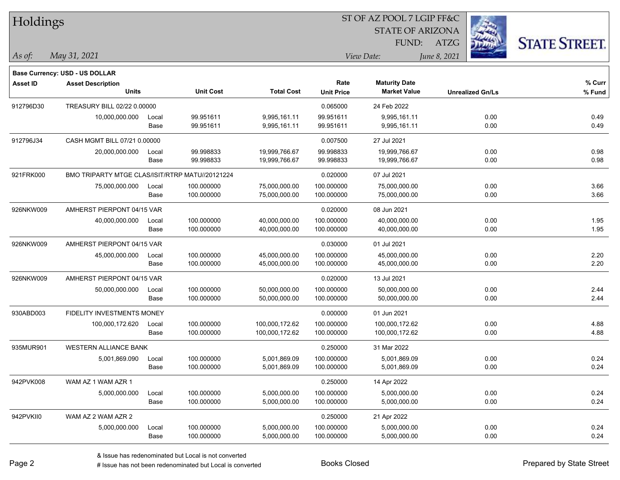| Holdings        |                                                 |       |                  |                   |                   | ST OF AZ POOL 7 LGIP FF&C |              |                         |                      |
|-----------------|-------------------------------------------------|-------|------------------|-------------------|-------------------|---------------------------|--------------|-------------------------|----------------------|
|                 |                                                 |       |                  |                   |                   | <b>STATE OF ARIZONA</b>   |              |                         |                      |
|                 |                                                 |       |                  |                   |                   | FUND:                     | ATZG         |                         | <b>STATE STREET.</b> |
| $\vert$ As of:  | May 31, 2021                                    |       |                  |                   |                   | View Date:                | June 8, 2021 |                         |                      |
|                 | <b>Base Currency: USD - US DOLLAR</b>           |       |                  |                   |                   |                           |              |                         |                      |
| <b>Asset ID</b> | <b>Asset Description</b>                        |       |                  |                   | Rate              | <b>Maturity Date</b>      |              |                         | % Curr               |
|                 | <b>Units</b>                                    |       | <b>Unit Cost</b> | <b>Total Cost</b> | <b>Unit Price</b> | <b>Market Value</b>       |              | <b>Unrealized Gn/Ls</b> | % Fund               |
| 912796D30       | TREASURY BILL 02/22 0.00000                     |       |                  |                   | 0.065000          | 24 Feb 2022               |              |                         |                      |
|                 | 10,000,000.000                                  | Local | 99.951611        | 9,995,161.11      | 99.951611         | 9,995,161.11              |              | 0.00                    | 0.49                 |
|                 |                                                 | Base  | 99.951611        | 9,995,161.11      | 99.951611         | 9,995,161.11              |              | 0.00                    | 0.49                 |
| 912796J34       | CASH MGMT BILL 07/21 0.00000                    |       |                  |                   | 0.007500          | 27 Jul 2021               |              |                         |                      |
|                 | 20,000,000.000                                  | Local | 99.998833        | 19,999,766.67     | 99.998833         | 19,999,766.67             |              | 0.00                    | 0.98                 |
|                 |                                                 | Base  | 99.998833        | 19,999,766.67     | 99.998833         | 19,999,766.67             |              | 0.00                    | 0.98                 |
| 921FRK000       | BMO TRIPARTY MTGE CLAS/ISIT/RTRP MATU//20121224 |       |                  |                   | 0.020000          | 07 Jul 2021               |              |                         |                      |
|                 | 75,000,000.000                                  | Local | 100.000000       | 75,000,000.00     | 100.000000        | 75,000,000.00             |              | 0.00                    | 3.66                 |
|                 |                                                 | Base  | 100.000000       | 75,000,000.00     | 100.000000        | 75,000,000.00             |              | 0.00                    | 3.66                 |
| 926NKW009       | AMHERST PIERPONT 04/15 VAR                      |       |                  |                   | 0.020000          | 08 Jun 2021               |              |                         |                      |
|                 | 40,000,000.000                                  | Local | 100.000000       | 40,000,000.00     | 100.000000        | 40,000,000.00             |              | 0.00                    | 1.95                 |
|                 |                                                 | Base  | 100.000000       | 40,000,000.00     | 100.000000        | 40,000,000.00             |              | 0.00                    | 1.95                 |
| 926NKW009       | AMHERST PIERPONT 04/15 VAR                      |       |                  |                   | 0.030000          | 01 Jul 2021               |              |                         |                      |
|                 | 45,000,000.000                                  | Local | 100.000000       | 45,000,000.00     | 100.000000        | 45,000,000.00             |              | 0.00                    | 2.20                 |
|                 |                                                 | Base  | 100.000000       | 45,000,000.00     | 100.000000        | 45,000,000.00             |              | 0.00                    | 2.20                 |
| 926NKW009       | AMHERST PIERPONT 04/15 VAR                      |       |                  |                   | 0.020000          | 13 Jul 2021               |              |                         |                      |
|                 | 50,000,000.000                                  | Local | 100.000000       | 50,000,000.00     | 100.000000        | 50,000,000.00             |              | 0.00                    | 2.44                 |
|                 |                                                 | Base  | 100.000000       | 50,000,000.00     | 100.000000        | 50,000,000.00             |              | 0.00                    | 2.44                 |
| 930ABD003       | FIDELITY INVESTMENTS MONEY                      |       |                  |                   | 0.000000          | 01 Jun 2021               |              |                         |                      |
|                 | 100,000,172.620                                 | Local | 100.000000       | 100,000,172.62    | 100.000000        | 100,000,172.62            |              | 0.00                    | 4.88                 |
|                 |                                                 | Base  | 100.000000       | 100,000,172.62    | 100.000000        | 100,000,172.62            |              | 0.00                    | 4.88                 |
| 935MUR901       | <b>WESTERN ALLIANCE BANK</b>                    |       |                  |                   | 0.250000          | 31 Mar 2022               |              |                         |                      |
|                 | 5,001,869.090                                   | Local | 100.000000       | 5,001,869.09      | 100.000000        | 5,001,869.09              |              | 0.00                    | 0.24                 |
|                 |                                                 | Base  | 100.000000       | 5,001,869.09      | 100.000000        | 5,001,869.09              |              | 0.00                    | 0.24                 |
| 942PVK008       | WAM AZ 1 WAM AZR 1                              |       |                  |                   | 0.250000          | 14 Apr 2022               |              |                         |                      |
|                 | 5,000,000.000                                   | Local | 100.000000       | 5,000,000.00      | 100.000000        | 5,000,000.00              |              | 0.00                    | 0.24                 |
|                 |                                                 | Base  | 100.000000       | 5,000,000.00      | 100.000000        | 5,000,000.00              |              | 0.00                    | 0.24                 |
| 942PVKII0       | WAM AZ 2 WAM AZR 2                              |       |                  |                   | 0.250000          | 21 Apr 2022               |              |                         |                      |
|                 | 5,000,000.000                                   | Local | 100.000000       | 5,000,000.00      | 100.000000        | 5,000,000.00              |              | 0.00                    | 0.24                 |
|                 |                                                 | Base  | 100.000000       | 5,000,000.00      | 100.000000        | 5,000,000.00              |              | 0.00                    | 0.24                 |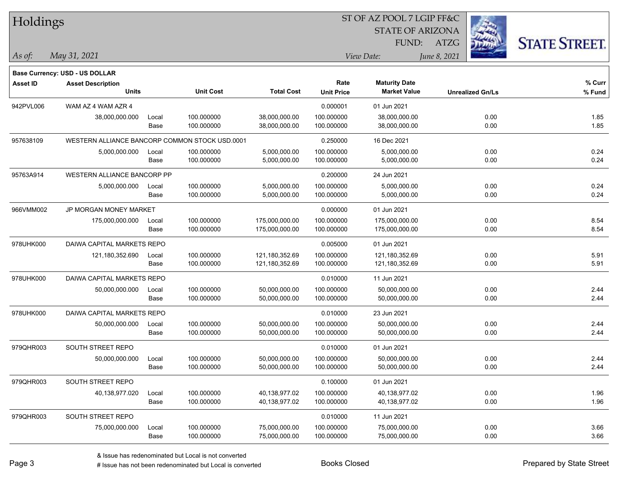| Holdings        |                                                |       |                  |                   |                   | ST OF AZ POOL 7 LGIP FF&C |                         |      |                      |
|-----------------|------------------------------------------------|-------|------------------|-------------------|-------------------|---------------------------|-------------------------|------|----------------------|
|                 |                                                |       |                  |                   |                   | <b>STATE OF ARIZONA</b>   |                         |      |                      |
|                 |                                                |       |                  |                   |                   | FUND:                     | <b>ATZG</b>             |      | <b>STATE STREET.</b> |
| As of:          | May 31, 2021                                   |       |                  |                   |                   | View Date:                | June 8, 2021            |      |                      |
|                 | <b>Base Currency: USD - US DOLLAR</b>          |       |                  |                   |                   |                           |                         |      |                      |
| <b>Asset ID</b> | <b>Asset Description</b>                       |       |                  |                   | Rate              | <b>Maturity Date</b>      |                         |      | % Curr               |
|                 | <b>Units</b>                                   |       | <b>Unit Cost</b> | <b>Total Cost</b> | <b>Unit Price</b> | <b>Market Value</b>       | <b>Unrealized Gn/Ls</b> |      | % Fund               |
| 942PVL006       | WAM AZ 4 WAM AZR 4                             |       |                  |                   | 0.000001          | 01 Jun 2021               |                         |      |                      |
|                 | 38,000,000.000                                 | Local | 100.000000       | 38,000,000.00     | 100.000000        | 38,000,000.00             |                         | 0.00 | 1.85                 |
|                 |                                                | Base  | 100.000000       | 38,000,000.00     | 100.000000        | 38,000,000.00             |                         | 0.00 | 1.85                 |
| 957638109       | WESTERN ALLIANCE BANCORP COMMON STOCK USD.0001 |       |                  |                   | 0.250000          | 16 Dec 2021               |                         |      |                      |
|                 | 5,000,000.000                                  | Local | 100.000000       | 5,000,000.00      | 100.000000        | 5,000,000.00              |                         | 0.00 | 0.24                 |
|                 |                                                | Base  | 100.000000       | 5,000,000.00      | 100.000000        | 5,000,000.00              |                         | 0.00 | 0.24                 |
| 95763A914       | <b>WESTERN ALLIANCE BANCORP PP</b>             |       |                  |                   | 0.200000          | 24 Jun 2021               |                         |      |                      |
|                 | 5,000,000.000                                  | Local | 100.000000       | 5,000,000.00      | 100.000000        | 5,000,000.00              |                         | 0.00 | 0.24                 |
|                 |                                                | Base  | 100.000000       | 5,000,000.00      | 100.000000        | 5,000,000.00              |                         | 0.00 | 0.24                 |
| 966VMM002       | JP MORGAN MONEY MARKET                         |       |                  |                   | 0.000000          | 01 Jun 2021               |                         |      |                      |
|                 | 175,000,000.000                                | Local | 100.000000       | 175,000,000.00    | 100.000000        | 175,000,000.00            |                         | 0.00 | 8.54                 |
|                 |                                                | Base  | 100.000000       | 175,000,000.00    | 100.000000        | 175,000,000.00            |                         | 0.00 | 8.54                 |
| 978UHK000       | DAIWA CAPITAL MARKETS REPO                     |       |                  |                   | 0.005000          | 01 Jun 2021               |                         |      |                      |
|                 | 121,180,352.690                                | Local | 100.000000       | 121,180,352.69    | 100.000000        | 121,180,352.69            |                         | 0.00 | 5.91                 |
|                 |                                                | Base  | 100.000000       | 121,180,352.69    | 100.000000        | 121,180,352.69            |                         | 0.00 | 5.91                 |
| 978UHK000       | DAIWA CAPITAL MARKETS REPO                     |       |                  |                   | 0.010000          | 11 Jun 2021               |                         |      |                      |
|                 | 50,000,000.000                                 | Local | 100.000000       | 50,000,000.00     | 100.000000        | 50,000,000.00             |                         | 0.00 | 2.44                 |
|                 |                                                | Base  | 100.000000       | 50,000,000.00     | 100.000000        | 50,000,000.00             |                         | 0.00 | 2.44                 |
| 978UHK000       | DAIWA CAPITAL MARKETS REPO                     |       |                  |                   | 0.010000          | 23 Jun 2021               |                         |      |                      |
|                 | 50,000,000.000                                 | Local | 100.000000       | 50,000,000.00     | 100.000000        | 50,000,000.00             |                         | 0.00 | 2.44                 |
|                 |                                                | Base  | 100.000000       | 50,000,000.00     | 100.000000        | 50,000,000.00             |                         | 0.00 | 2.44                 |
| 979QHR003       | SOUTH STREET REPO                              |       |                  |                   | 0.010000          | 01 Jun 2021               |                         |      |                      |
|                 | 50,000,000.000                                 | Local | 100.000000       | 50,000,000.00     | 100.000000        | 50,000,000.00             |                         | 0.00 | 2.44                 |
|                 |                                                | Base  | 100.000000       | 50,000,000.00     | 100.000000        | 50,000,000.00             |                         | 0.00 | 2.44                 |
| 979QHR003       | SOUTH STREET REPO                              |       |                  |                   | 0.100000          | 01 Jun 2021               |                         |      |                      |
|                 | 40,138,977.020                                 | Local | 100.000000       | 40,138,977.02     | 100.000000        | 40,138,977.02             |                         | 0.00 | 1.96                 |
|                 |                                                | Base  | 100.000000       | 40,138,977.02     | 100.000000        | 40,138,977.02             |                         | 0.00 | 1.96                 |
| 979QHR003       | SOUTH STREET REPO                              |       |                  |                   | 0.010000          | 11 Jun 2021               |                         |      |                      |
|                 | 75,000,000.000                                 | Local | 100.000000       | 75,000,000.00     | 100.000000        | 75,000,000.00             |                         | 0.00 | 3.66                 |
|                 |                                                | Base  | 100.000000       | 75,000,000.00     | 100.000000        | 75,000,000.00             |                         | 0.00 | 3.66                 |

# Issue has not been redenominated but Local is converted Books Closed Prepared by State Street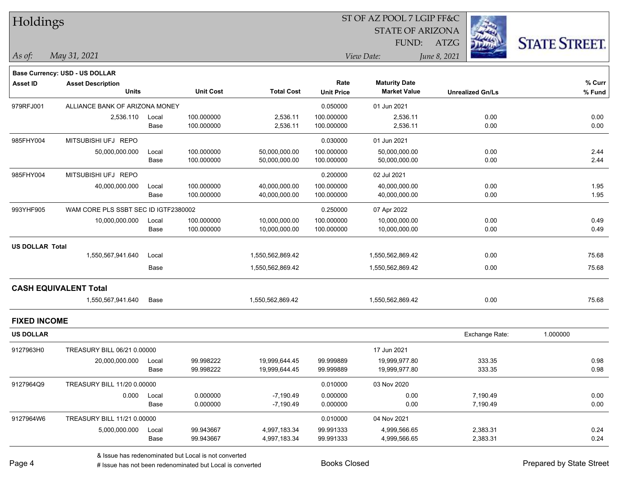| Holdings               |                                       |       |                  |                   |                   | ST OF AZ POOL 7 LGIP FF&C |                         |                      |
|------------------------|---------------------------------------|-------|------------------|-------------------|-------------------|---------------------------|-------------------------|----------------------|
|                        |                                       |       |                  |                   |                   | <b>STATE OF ARIZONA</b>   |                         |                      |
|                        |                                       |       |                  |                   |                   | FUND:                     | <b>ATZG</b>             | <b>STATE STREET.</b> |
| As of:                 | May 31, 2021                          |       |                  |                   |                   | View Date:                | June 8, 2021            |                      |
|                        | <b>Base Currency: USD - US DOLLAR</b> |       |                  |                   |                   |                           |                         |                      |
| <b>Asset ID</b>        | <b>Asset Description</b>              |       |                  |                   | Rate              | <b>Maturity Date</b>      |                         | % Curr               |
|                        | <b>Units</b>                          |       | <b>Unit Cost</b> | <b>Total Cost</b> | <b>Unit Price</b> | <b>Market Value</b>       | <b>Unrealized Gn/Ls</b> | % Fund               |
| 979RFJ001              | ALLIANCE BANK OF ARIZONA MONEY        |       |                  |                   | 0.050000          | 01 Jun 2021               |                         |                      |
|                        | 2,536.110                             | Local | 100.000000       | 2,536.11          | 100.000000        | 2,536.11                  | 0.00                    | 0.00                 |
|                        |                                       | Base  | 100.000000       | 2,536.11          | 100.000000        | 2,536.11                  | 0.00                    | 0.00                 |
| 985FHY004              | MITSUBISHI UFJ REPO                   |       |                  |                   | 0.030000          | 01 Jun 2021               |                         |                      |
|                        | 50,000,000.000                        | Local | 100.000000       | 50,000,000.00     | 100.000000        | 50,000,000.00             | 0.00                    | 2.44                 |
|                        |                                       | Base  | 100.000000       | 50,000,000.00     | 100.000000        | 50,000,000.00             | 0.00                    | 2.44                 |
| 985FHY004              | MITSUBISHI UFJ REPO                   |       |                  |                   | 0.200000          | 02 Jul 2021               |                         |                      |
|                        | 40,000,000.000                        | Local | 100.000000       | 40,000,000.00     | 100.000000        | 40,000,000.00             | 0.00                    | 1.95                 |
|                        |                                       | Base  | 100.000000       | 40,000,000.00     | 100.000000        | 40,000,000.00             | 0.00                    | 1.95                 |
| 993YHF905              | WAM CORE PLS SSBT SEC ID IGTF2380002  |       |                  |                   | 0.250000          | 07 Apr 2022               |                         |                      |
|                        | 10,000,000.000                        | Local | 100.000000       | 10,000,000.00     | 100.000000        | 10,000,000.00             | 0.00                    | 0.49                 |
|                        |                                       | Base  | 100.000000       | 10,000,000.00     | 100.000000        | 10,000,000.00             | 0.00                    | 0.49                 |
| <b>US DOLLAR Total</b> |                                       |       |                  |                   |                   |                           |                         |                      |
|                        | 1,550,567,941.640                     | Local |                  | 1,550,562,869.42  |                   | 1,550,562,869.42          | 0.00                    | 75.68                |
|                        |                                       | Base  |                  | 1,550,562,869.42  |                   | 1,550,562,869.42          | 0.00                    | 75.68                |
|                        | <b>CASH EQUIVALENT Total</b>          |       |                  |                   |                   |                           |                         |                      |
|                        | 1,550,567,941.640                     | Base  |                  | 1,550,562,869.42  |                   | 1,550,562,869.42          | 0.00                    | 75.68                |
| <b>FIXED INCOME</b>    |                                       |       |                  |                   |                   |                           |                         |                      |
| <b>US DOLLAR</b>       |                                       |       |                  |                   |                   |                           | Exchange Rate:          | 1.000000             |
| 9127963H0              | TREASURY BILL 06/21 0.00000           |       |                  |                   |                   | 17 Jun 2021               |                         |                      |
|                        | 20,000,000.000 Local                  |       | 99.998222        | 19,999,644.45     | 99.999889         | 19,999,977.80             | 333.35                  | 0.98                 |
|                        |                                       | Base  | 99.998222        | 19,999,644.45     | 99.999889         | 19,999,977.80             | 333.35                  | 0.98                 |
| 9127964Q9              | TREASURY BILL 11/20 0.00000           |       |                  |                   | 0.010000          | 03 Nov 2020               |                         |                      |
|                        | 0.000                                 | Local | 0.000000         | $-7,190.49$       | 0.000000          | 0.00                      | 7,190.49                | 0.00                 |
|                        |                                       | Base  | 0.000000         | $-7,190.49$       | 0.000000          | 0.00                      | 7,190.49                | 0.00                 |
| 9127964W6              | TREASURY BILL 11/21 0.00000           |       |                  |                   | 0.010000          | 04 Nov 2021               |                         |                      |
|                        | 5,000,000.000                         | Local | 99.943667        | 4,997,183.34      | 99.991333         | 4,999,566.65              | 2,383.31                | 0.24                 |
|                        |                                       | Base  | 99.943667        | 4,997,183.34      | 99.991333         | 4,999,566.65              | 2,383.31                | 0.24                 |

٦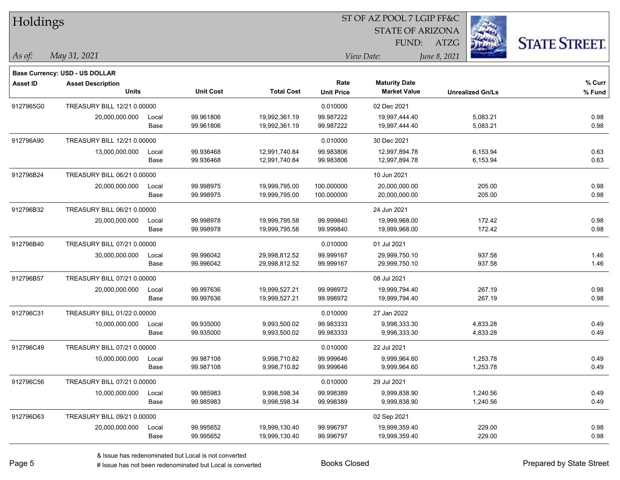| Holdings        |                                       |       |                  |                   |                   | ST OF AZ POOL 7 LGIP FF&C |                         |                      |
|-----------------|---------------------------------------|-------|------------------|-------------------|-------------------|---------------------------|-------------------------|----------------------|
|                 |                                       |       |                  |                   |                   | <b>STATE OF ARIZONA</b>   |                         |                      |
|                 |                                       |       |                  |                   |                   | FUND:                     | ATZG                    | <b>STATE STREET.</b> |
| As of:          | May 31, 2021                          |       |                  |                   |                   | View Date:                | June 8, 2021            |                      |
|                 | <b>Base Currency: USD - US DOLLAR</b> |       |                  |                   |                   |                           |                         |                      |
| <b>Asset ID</b> | <b>Asset Description</b>              |       |                  |                   | Rate              | <b>Maturity Date</b>      |                         | % Curr               |
|                 | <b>Units</b>                          |       | <b>Unit Cost</b> | <b>Total Cost</b> | <b>Unit Price</b> | <b>Market Value</b>       | <b>Unrealized Gn/Ls</b> | % Fund               |
| 9127965G0       | TREASURY BILL 12/21 0.00000           |       |                  |                   | 0.010000          | 02 Dec 2021               |                         |                      |
|                 | 20,000,000.000                        | Local | 99.961806        | 19,992,361.19     | 99.987222         | 19,997,444.40             | 5,083.21                | 0.98                 |
|                 |                                       | Base  | 99.961806        | 19,992,361.19     | 99.987222         | 19,997,444.40             | 5,083.21                | 0.98                 |
| 912796A90       | TREASURY BILL 12/21 0.00000           |       |                  |                   | 0.010000          | 30 Dec 2021               |                         |                      |
|                 | 13,000,000.000                        | Local | 99.936468        | 12,991,740.84     | 99.983806         | 12,997,894.78             | 6,153.94                | 0.63                 |
|                 |                                       | Base  | 99.936468        | 12,991,740.84     | 99.983806         | 12,997,894.78             | 6,153.94                | 0.63                 |
| 912796B24       | TREASURY BILL 06/21 0.00000           |       |                  |                   |                   | 10 Jun 2021               |                         |                      |
|                 | 20,000,000.000                        | Local | 99.998975        | 19,999,795.00     | 100.000000        | 20,000,000.00             | 205.00                  | 0.98                 |
|                 |                                       | Base  | 99.998975        | 19,999,795.00     | 100.000000        | 20,000,000.00             | 205.00                  | 0.98                 |
| 912796B32       | TREASURY BILL 06/21 0.00000           |       |                  |                   |                   | 24 Jun 2021               |                         |                      |
|                 | 20,000,000.000                        | Local | 99.998978        | 19,999,795.58     | 99.999840         | 19,999,968.00             | 172.42                  | 0.98                 |
|                 |                                       | Base  | 99.998978        | 19,999,795.58     | 99.999840         | 19,999,968.00             | 172.42                  | 0.98                 |
| 912796B40       | TREASURY BILL 07/21 0.00000           |       |                  |                   | 0.010000          | 01 Jul 2021               |                         |                      |
|                 | 30,000,000.000                        | Local | 99.996042        | 29,998,812.52     | 99.999167         | 29,999,750.10             | 937.58                  | 1.46                 |
|                 |                                       | Base  | 99.996042        | 29,998,812.52     | 99.999167         | 29,999,750.10             | 937.58                  | 1.46                 |
| 912796B57       | TREASURY BILL 07/21 0.00000           |       |                  |                   |                   | 08 Jul 2021               |                         |                      |
|                 | 20,000,000.000                        | Local | 99.997636        | 19,999,527.21     | 99.998972         | 19,999,794.40             | 267.19                  | 0.98                 |
|                 |                                       | Base  | 99.997636        | 19,999,527.21     | 99.998972         | 19,999,794.40             | 267.19                  | 0.98                 |
| 912796C31       | TREASURY BILL 01/22 0.00000           |       |                  |                   | 0.010000          | 27 Jan 2022               |                         |                      |
|                 | 10,000,000.000                        | Local | 99.935000        | 9,993,500.02      | 99.983333         | 9,998,333.30              | 4,833.28                | 0.49                 |
|                 |                                       | Base  | 99.935000        | 9,993,500.02      | 99.983333         | 9,998,333.30              | 4,833.28                | 0.49                 |
| 912796C49       | TREASURY BILL 07/21 0.00000           |       |                  |                   | 0.010000          | 22 Jul 2021               |                         |                      |
|                 | 10,000,000.000                        | Local | 99.987108        | 9,998,710.82      | 99.999646         | 9,999,964.60              | 1,253.78                | 0.49                 |
|                 |                                       | Base  | 99.987108        | 9,998,710.82      | 99.999646         | 9,999,964.60              | 1,253.78                | 0.49                 |
| 912796C56       | TREASURY BILL 07/21 0.00000           |       |                  |                   | 0.010000          | 29 Jul 2021               |                         |                      |
|                 | 10,000,000.000                        | Local | 99.985983        | 9,998,598.34      | 99.998389         | 9,999,838.90              | 1,240.56                | 0.49                 |
|                 |                                       | Base  | 99.985983        | 9,998,598.34      | 99.998389         | 9,999,838.90              | 1,240.56                | 0.49                 |
| 912796D63       | TREASURY BILL 09/21 0.00000           |       |                  |                   |                   | 02 Sep 2021               |                         |                      |
|                 | 20,000,000.000                        | Local | 99.995652        | 19,999,130.40     | 99.996797         | 19,999,359.40             | 229.00                  | 0.98                 |
|                 |                                       | Base  | 99.995652        | 19,999,130.40     | 99.996797         | 19,999,359.40             | 229.00                  | 0.98                 |

# Issue has not been redenominated but Local is converted Books Closed Prepared by State Street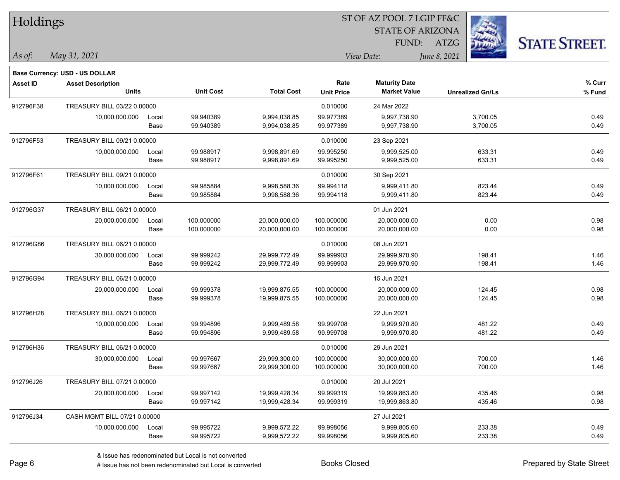| Holdings        |                                       |       |                  |                   |                   | 51 OF AZ POOL 7 LGIP FF&C |              |                         |                      |
|-----------------|---------------------------------------|-------|------------------|-------------------|-------------------|---------------------------|--------------|-------------------------|----------------------|
|                 |                                       |       |                  |                   |                   | <b>STATE OF ARIZONA</b>   |              |                         |                      |
|                 |                                       |       |                  |                   |                   | FUND:                     | ATZG         |                         | <b>STATE STREET.</b> |
| As of:          | May 31, 2021                          |       |                  |                   |                   | View Date:                | June 8, 2021 |                         |                      |
|                 |                                       |       |                  |                   |                   |                           |              |                         |                      |
|                 | <b>Base Currency: USD - US DOLLAR</b> |       |                  |                   |                   |                           |              |                         |                      |
| <b>Asset ID</b> | <b>Asset Description</b>              |       |                  |                   | Rate              | <b>Maturity Date</b>      |              |                         | % Curr               |
|                 | <b>Units</b>                          |       | <b>Unit Cost</b> | <b>Total Cost</b> | <b>Unit Price</b> | <b>Market Value</b>       |              | <b>Unrealized Gn/Ls</b> | % Fund               |
| 912796F38       | TREASURY BILL 03/22 0.00000           |       |                  |                   | 0.010000          | 24 Mar 2022               |              |                         |                      |
|                 | 10,000,000.000                        | Local | 99.940389        | 9,994,038.85      | 99.977389         | 9,997,738.90              |              | 3,700.05                | 0.49                 |
|                 |                                       | Base  | 99.940389        | 9,994,038.85      | 99.977389         | 9,997,738.90              |              | 3,700.05                | 0.49                 |
| 912796F53       | TREASURY BILL 09/21 0.00000           |       |                  |                   | 0.010000          | 23 Sep 2021               |              |                         |                      |
|                 | 10,000,000.000                        | Local | 99.988917        | 9,998,891.69      | 99.995250         | 9,999,525.00              |              | 633.31                  | 0.49                 |
|                 |                                       | Base  | 99.988917        | 9,998,891.69      | 99.995250         | 9,999,525.00              |              | 633.31                  | 0.49                 |
| 912796F61       | TREASURY BILL 09/21 0.00000           |       |                  |                   | 0.010000          | 30 Sep 2021               |              |                         |                      |
|                 | 10,000,000.000                        | Local | 99.985884        | 9,998,588.36      | 99.994118         | 9,999,411.80              |              | 823.44                  | 0.49                 |
|                 |                                       | Base  | 99.985884        | 9,998,588.36      | 99.994118         | 9,999,411.80              |              | 823.44                  | 0.49                 |
| 912796G37       | TREASURY BILL 06/21 0.00000           |       |                  |                   |                   | 01 Jun 2021               |              |                         |                      |
|                 | 20,000,000.000                        | Local | 100.000000       | 20,000,000.00     | 100.000000        | 20,000,000.00             |              | 0.00                    | 0.98                 |
|                 |                                       | Base  | 100.000000       | 20,000,000.00     | 100.000000        | 20,000,000.00             |              | 0.00                    | 0.98                 |
| 912796G86       | TREASURY BILL 06/21 0.00000           |       |                  |                   | 0.010000          | 08 Jun 2021               |              |                         |                      |
|                 | 30,000,000.000                        | Local | 99.999242        | 29,999,772.49     | 99.999903         | 29,999,970.90             |              | 198.41                  | 1.46                 |
|                 |                                       | Base  | 99.999242        | 29,999,772.49     | 99.999903         | 29,999,970.90             |              | 198.41                  | 1.46                 |
| 912796G94       | TREASURY BILL 06/21 0.00000           |       |                  |                   |                   | 15 Jun 2021               |              |                         |                      |
|                 | 20,000,000.000                        | Local | 99.999378        | 19,999,875.55     | 100.000000        | 20,000,000.00             |              | 124.45                  | 0.98                 |
|                 |                                       | Base  | 99.999378        | 19,999,875.55     | 100.000000        | 20,000,000.00             |              | 124.45                  | 0.98                 |
| 912796H28       | TREASURY BILL 06/21 0.00000           |       |                  |                   |                   | 22 Jun 2021               |              |                         |                      |
|                 | 10,000,000.000                        | Local | 99.994896        | 9,999,489.58      | 99.999708         | 9,999,970.80              |              | 481.22                  | 0.49                 |
|                 |                                       | Base  | 99.994896        | 9,999,489.58      | 99.999708         | 9,999,970.80              |              | 481.22                  | 0.49                 |
| 912796H36       | TREASURY BILL 06/21 0.00000           |       |                  |                   | 0.010000          | 29 Jun 2021               |              |                         |                      |
|                 | 30,000,000.000                        | Local | 99.997667        | 29,999,300.00     | 100.000000        | 30,000,000.00             |              | 700.00                  | 1.46                 |
|                 |                                       | Base  | 99.997667        | 29,999,300.00     | 100.000000        | 30,000,000.00             |              | 700.00                  | 1.46                 |
| 912796J26       | TREASURY BILL 07/21 0.00000           |       |                  |                   | 0.010000          | 20 Jul 2021               |              |                         |                      |
|                 | 20,000,000.000                        | Local | 99.997142        | 19,999,428.34     | 99.999319         | 19,999,863.80             |              | 435.46                  | 0.98                 |
|                 |                                       | Base  | 99.997142        | 19,999,428.34     | 99.999319         | 19,999,863.80             |              | 435.46                  | 0.98                 |
| 912796J34       | CASH MGMT BILL 07/21 0.00000          |       |                  |                   |                   | 27 Jul 2021               |              |                         |                      |
|                 | 10,000,000.000                        | Local | 99.995722        | 9,999,572.22      | 99.998056         | 9,999,805.60              |              | 233.38                  | 0.49                 |
|                 |                                       | Base  | 99.995722        | 9,999,572.22      | 99.998056         | 9,999,805.60              |              | 233.38                  | 0.49                 |
|                 |                                       |       |                  |                   |                   |                           |              |                         |                      |

 $ST$  OF A Z POOL 7 LCIP FF&C

# Issue has not been redenominated but Local is converted Books Closed Prepared by State Street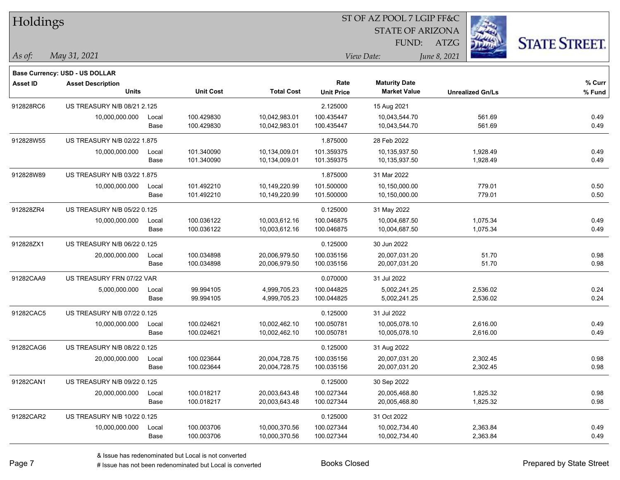| <b>Holdings</b> |                                          |               |                          |                                |                           | 51 OF AZ POOL 7 LGIP FF&C                   |                         |                      |
|-----------------|------------------------------------------|---------------|--------------------------|--------------------------------|---------------------------|---------------------------------------------|-------------------------|----------------------|
|                 |                                          |               |                          |                                |                           | <b>STATE OF ARIZONA</b>                     |                         |                      |
|                 |                                          |               |                          |                                |                           | FUND:                                       | ATZG                    | <b>STATE STREET.</b> |
| As of:          | May 31, 2021                             |               |                          |                                |                           | View Date:                                  | June 8, 2021            |                      |
|                 |                                          |               |                          |                                |                           |                                             |                         |                      |
|                 | <b>Base Currency: USD - US DOLLAR</b>    |               |                          |                                |                           |                                             |                         |                      |
| <b>Asset ID</b> | <b>Asset Description</b><br><b>Units</b> |               | <b>Unit Cost</b>         | <b>Total Cost</b>              | Rate<br><b>Unit Price</b> | <b>Maturity Date</b><br><b>Market Value</b> | <b>Unrealized Gn/Ls</b> | $%$ Curr<br>% Fund   |
|                 |                                          |               |                          |                                |                           |                                             |                         |                      |
| 912828RC6       | US TREASURY N/B 08/21 2.125              |               |                          |                                | 2.125000                  | 15 Aug 2021                                 |                         |                      |
|                 | 10,000,000.000                           | Local<br>Base | 100.429830<br>100.429830 | 10,042,983.01<br>10,042,983.01 | 100.435447<br>100.435447  | 10,043,544.70<br>10,043,544.70              | 561.69<br>561.69        | 0.49<br>0.49         |
|                 |                                          |               |                          |                                |                           |                                             |                         |                      |
| 912828W55       | US TREASURY N/B 02/22 1.875              |               |                          |                                | 1.875000                  | 28 Feb 2022                                 |                         |                      |
|                 | 10,000,000.000                           | Local         | 101.340090               | 10,134,009.01                  | 101.359375                | 10,135,937.50                               | 1,928.49                | 0.49                 |
|                 |                                          | Base          | 101.340090               | 10,134,009.01                  | 101.359375                | 10,135,937.50                               | 1,928.49                | 0.49                 |
| 912828W89       | <b>US TREASURY N/B 03/22 1.875</b>       |               |                          |                                | 1.875000                  | 31 Mar 2022                                 |                         |                      |
|                 | 10,000,000.000                           | Local         | 101.492210               | 10,149,220.99                  | 101.500000                | 10,150,000.00                               | 779.01                  | 0.50                 |
|                 |                                          | Base          | 101.492210               | 10,149,220.99                  | 101.500000                | 10,150,000.00                               | 779.01                  | 0.50                 |
| 912828ZR4       | US TREASURY N/B 05/22 0.125              |               |                          |                                | 0.125000                  | 31 May 2022                                 |                         |                      |
|                 | 10,000,000.000                           | Local         | 100.036122               | 10,003,612.16                  | 100.046875                | 10,004,687.50                               | 1,075.34                | 0.49                 |
|                 |                                          | Base          | 100.036122               | 10,003,612.16                  | 100.046875                | 10,004,687.50                               | 1,075.34                | 0.49                 |
| 912828ZX1       | US TREASURY N/B 06/22 0.125              |               |                          |                                | 0.125000                  | 30 Jun 2022                                 |                         |                      |
|                 | 20,000,000.000                           | Local         | 100.034898               | 20,006,979.50                  | 100.035156                | 20,007,031.20                               | 51.70                   | 0.98                 |
|                 |                                          | Base          | 100.034898               | 20,006,979.50                  | 100.035156                | 20,007,031.20                               | 51.70                   | 0.98                 |
| 91282CAA9       | US TREASURY FRN 07/22 VAR                |               |                          |                                | 0.070000                  | 31 Jul 2022                                 |                         |                      |
|                 | 5,000,000.000                            | Local         | 99.994105                | 4,999,705.23                   | 100.044825                | 5,002,241.25                                | 2,536.02                | 0.24                 |
|                 |                                          | Base          | 99.994105                | 4,999,705.23                   | 100.044825                | 5,002,241.25                                | 2,536.02                | 0.24                 |
| 91282CAC5       | US TREASURY N/B 07/22 0.125              |               |                          |                                | 0.125000                  | 31 Jul 2022                                 |                         |                      |
|                 | 10,000,000.000                           | Local         | 100.024621               | 10,002,462.10                  | 100.050781                | 10,005,078.10                               | 2,616.00                | 0.49                 |
|                 |                                          | Base          | 100.024621               | 10,002,462.10                  | 100.050781                | 10,005,078.10                               | 2,616.00                | 0.49                 |
| 91282CAG6       | US TREASURY N/B 08/22 0.125              |               |                          |                                | 0.125000                  | 31 Aug 2022                                 |                         |                      |
|                 | 20,000,000.000                           | Local         | 100.023644               | 20,004,728.75                  | 100.035156                | 20,007,031.20                               | 2,302.45                | 0.98                 |
|                 |                                          | Base          | 100.023644               | 20,004,728.75                  | 100.035156                | 20,007,031.20                               | 2,302.45                | 0.98                 |
| 91282CAN1       | US TREASURY N/B 09/22 0.125              |               |                          |                                | 0.125000                  | 30 Sep 2022                                 |                         |                      |
|                 | 20,000,000.000                           | Local         | 100.018217               | 20,003,643.48                  | 100.027344                | 20,005,468.80                               | 1,825.32                | 0.98                 |
|                 |                                          | Base          | 100.018217               | 20,003,643.48                  | 100.027344                | 20,005,468.80                               | 1,825.32                | 0.98                 |
| 91282CAR2       | US TREASURY N/B 10/22 0.125              |               |                          |                                | 0.125000                  | 31 Oct 2022                                 |                         |                      |
|                 | 10,000,000.000                           | Local         | 100.003706               | 10,000,370.56                  | 100.027344                | 10,002,734.40                               | 2,363.84                | 0.49                 |
|                 |                                          | Base          | 100.003706               | 10,000,370.56                  | 100.027344                | 10,002,734.40                               | 2,363.84                | 0.49                 |
|                 |                                          |               |                          |                                |                           |                                             |                         |                      |

 $ST$  OF AZ POOL 7 LCIP FF&C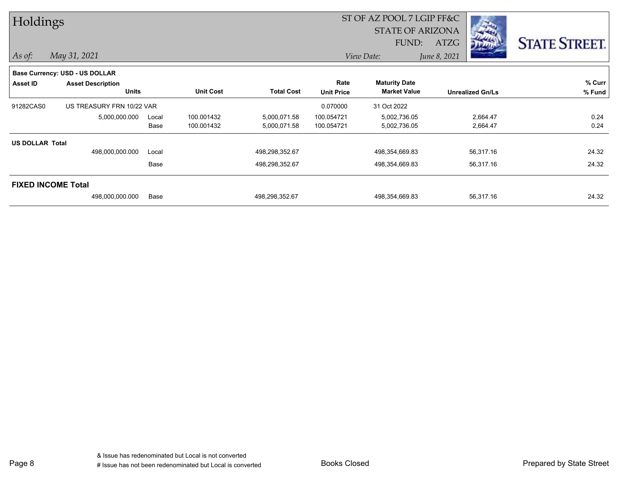| Holdings               |                                |       |                  |                   |                   | ST OF AZ POOL 7 LGIP FF&C |              |                         |                      |
|------------------------|--------------------------------|-------|------------------|-------------------|-------------------|---------------------------|--------------|-------------------------|----------------------|
|                        |                                |       |                  |                   |                   | <b>STATE OF ARIZONA</b>   |              |                         |                      |
|                        |                                |       |                  |                   |                   | FUND:                     | <b>ATZG</b>  |                         | <b>STATE STREET.</b> |
| $\vert$ As of:         | May 31, 2021                   |       |                  |                   |                   | View Date:                | June 8, 2021 |                         |                      |
|                        | Base Currency: USD - US DOLLAR |       |                  |                   |                   |                           |              |                         |                      |
| <b>Asset ID</b>        | <b>Asset Description</b>       |       |                  |                   | Rate              | <b>Maturity Date</b>      |              |                         | % Curr               |
|                        | <b>Units</b>                   |       | <b>Unit Cost</b> | <b>Total Cost</b> | <b>Unit Price</b> | <b>Market Value</b>       |              | <b>Unrealized Gn/Ls</b> | % Fund               |
| 91282CAS0              | US TREASURY FRN 10/22 VAR      |       |                  |                   | 0.070000          | 31 Oct 2022               |              |                         |                      |
|                        | 5,000,000.000                  | Local | 100.001432       | 5,000,071.58      | 100.054721        | 5,002,736.05              |              | 2,664.47                | 0.24                 |
|                        |                                | Base  | 100.001432       | 5,000,071.58      | 100.054721        | 5,002,736.05              |              | 2,664.47                | 0.24                 |
| <b>US DOLLAR Total</b> |                                |       |                  |                   |                   |                           |              |                         |                      |
|                        | 498,000,000.000                | Local |                  | 498,298,352.67    |                   | 498,354,669.83            |              | 56,317.16               | 24.32                |
|                        |                                | Base  |                  | 498,298,352.67    |                   | 498,354,669.83            |              | 56,317.16               | 24.32                |
|                        | <b>FIXED INCOME Total</b>      |       |                  |                   |                   |                           |              |                         |                      |
|                        | 498,000,000.000                | Base  |                  | 498,298,352.67    |                   | 498,354,669.83            |              | 56,317.16               | 24.32                |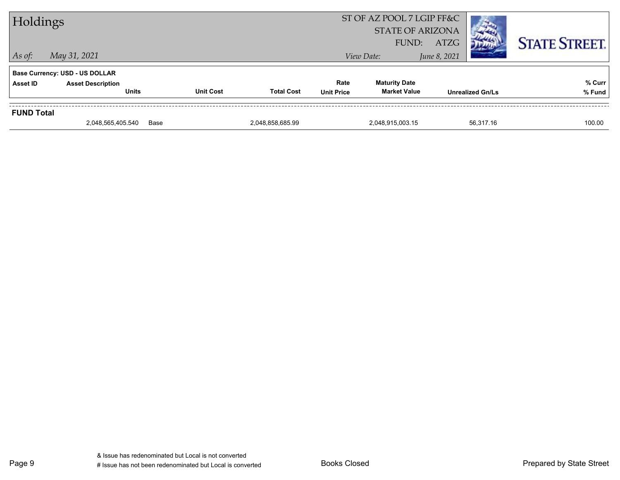|                   | 2,048,565,405.540                                                 | Base             | 2,048,858,685.99  |                   | 2,048,915,003.15          |             | 56.317.16               | 100.00               |
|-------------------|-------------------------------------------------------------------|------------------|-------------------|-------------------|---------------------------|-------------|-------------------------|----------------------|
| <b>FUND Total</b> |                                                                   |                  |                   |                   |                           |             |                         |                      |
|                   | <b>Units</b>                                                      | <b>Unit Cost</b> | <b>Total Cost</b> | <b>Unit Price</b> | <b>Market Value</b>       |             | <b>Unrealized Gn/Ls</b> | % Fund               |
| Asset ID          | <b>Base Currency: USD - US DOLLAR</b><br><b>Asset Description</b> |                  |                   | Rate              | <b>Maturity Date</b>      |             |                         | % Curr               |
| $\vert$ As of:    | May 31, 2021<br>June 8, 2021<br>View Date:                        |                  |                   |                   |                           |             |                         |                      |
|                   |                                                                   |                  |                   |                   | FUND:                     | <b>ATZG</b> |                         | <b>STATE STREET.</b> |
|                   |                                                                   |                  |                   |                   | <b>STATE OF ARIZONA</b>   |             |                         |                      |
| Holdings          |                                                                   |                  |                   |                   | ST OF AZ POOL 7 LGIP FF&C |             |                         |                      |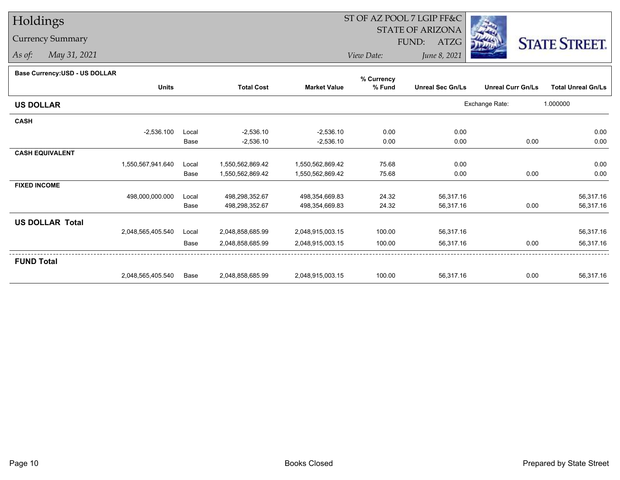## Holdings

## Currency Summary

*As of: May 31, 2021*

## ST OF AZ POOL 7 LGIP FF&C

STATE OF ARIZONA

FUND: ATZG



*View Date:June 8, 2021*

| Base Currency: USD - US DOLLAR |  |
|--------------------------------|--|
|--------------------------------|--|

| Dase Currency: USD - US DULLAR |                   |       |                   |                     | % Currency |                         |                          |                           |
|--------------------------------|-------------------|-------|-------------------|---------------------|------------|-------------------------|--------------------------|---------------------------|
|                                | <b>Units</b>      |       | <b>Total Cost</b> | <b>Market Value</b> | % Fund     | <b>Unreal Sec Gn/Ls</b> | <b>Unreal Curr Gn/Ls</b> | <b>Total Unreal Gn/Ls</b> |
| <b>US DOLLAR</b>               |                   |       |                   |                     |            |                         | Exchange Rate:           | 1.000000                  |
| <b>CASH</b>                    |                   |       |                   |                     |            |                         |                          |                           |
|                                | $-2,536.100$      | Local | $-2,536.10$       | $-2,536.10$         | 0.00       | 0.00                    |                          | 0.00                      |
|                                |                   | Base  | $-2,536.10$       | $-2,536.10$         | 0.00       | 0.00                    | 0.00                     | 0.00                      |
| <b>CASH EQUIVALENT</b>         |                   |       |                   |                     |            |                         |                          |                           |
|                                | 1,550,567,941.640 | Local | 1,550,562,869.42  | 1,550,562,869.42    | 75.68      | 0.00                    |                          | 0.00                      |
|                                |                   | Base  | 1,550,562,869.42  | 1,550,562,869.42    | 75.68      | 0.00                    | 0.00                     | 0.00                      |
| <b>FIXED INCOME</b>            |                   |       |                   |                     |            |                         |                          |                           |
|                                | 498,000,000.000   | Local | 498,298,352.67    | 498,354,669.83      | 24.32      | 56,317.16               |                          | 56,317.16                 |
|                                |                   | Base  | 498,298,352.67    | 498,354,669.83      | 24.32      | 56,317.16               | 0.00                     | 56,317.16                 |
| <b>US DOLLAR Total</b>         |                   |       |                   |                     |            |                         |                          |                           |
|                                | 2,048,565,405.540 | Local | 2,048,858,685.99  | 2,048,915,003.15    | 100.00     | 56,317.16               |                          | 56,317.16                 |
|                                |                   | Base  | 2,048,858,685.99  | 2,048,915,003.15    | 100.00     | 56,317.16               | 0.00                     | 56,317.16                 |
| <b>FUND Total</b>              |                   |       |                   |                     |            |                         |                          |                           |
|                                | 2,048,565,405.540 | Base  | 2,048,858,685.99  | 2,048,915,003.15    | 100.00     | 56,317.16               | 0.00                     | 56,317.16                 |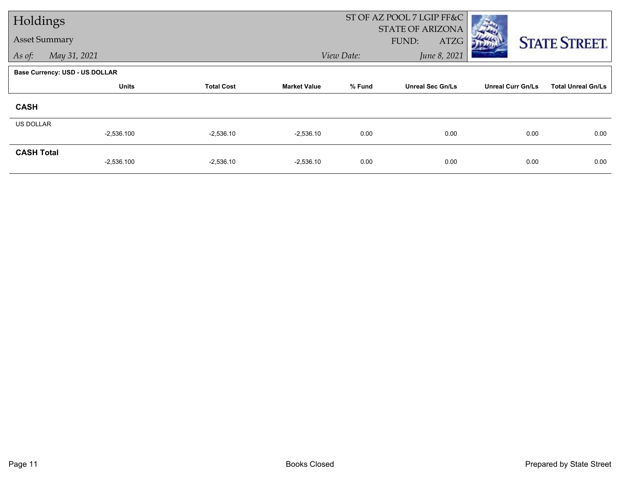| Holdings          |                                       |                   |                     |            | ST OF AZ POOL 7 LGIP FF&C<br>STATE OF ARIZONA |                          |                           |
|-------------------|---------------------------------------|-------------------|---------------------|------------|-----------------------------------------------|--------------------------|---------------------------|
|                   | <b>Asset Summary</b>                  |                   |                     |            | FUND:<br>ATZG                                 |                          | <b>STATE STREET.</b>      |
| As of:            | May 31, 2021                          |                   |                     | View Date: | June 8, 2021                                  |                          |                           |
|                   | <b>Base Currency: USD - US DOLLAR</b> |                   |                     |            |                                               |                          |                           |
|                   | <b>Units</b>                          | <b>Total Cost</b> | <b>Market Value</b> | % Fund     | <b>Unreal Sec Gn/Ls</b>                       | <b>Unreal Curr Gn/Ls</b> | <b>Total Unreal Gn/Ls</b> |
| <b>CASH</b>       |                                       |                   |                     |            |                                               |                          |                           |
| <b>US DOLLAR</b>  |                                       |                   |                     |            |                                               |                          |                           |
|                   | $-2,536.100$                          | $-2,536.10$       | $-2,536.10$         | 0.00       | 0.00                                          | 0.00                     | 0.00                      |
| <b>CASH Total</b> | $-2,536.100$                          | $-2,536.10$       | $-2,536.10$         | 0.00       | 0.00                                          | 0.00                     | 0.00                      |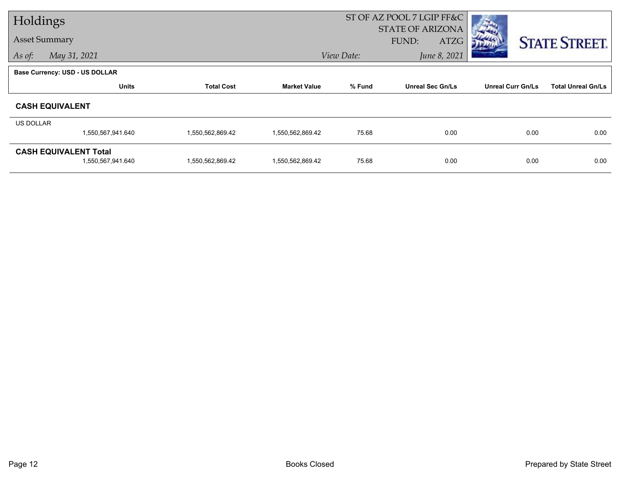| Holdings             |                                |                   |                     | ST OF AZ POOL 7 LGIP FF&C  |                         |                          |                           |
|----------------------|--------------------------------|-------------------|---------------------|----------------------------|-------------------------|--------------------------|---------------------------|
| <b>Asset Summary</b> |                                |                   |                     |                            | <b>STATE OF ARIZONA</b> |                          |                           |
|                      |                                |                   |                     |                            | <b>FUND:</b><br>ATZG    |                          | <b>STATE STREET.</b>      |
| As of:               | May 31, 2021                   |                   |                     | June 8, 2021<br>View Date: |                         |                          |                           |
|                      | Base Currency: USD - US DOLLAR |                   |                     |                            |                         |                          |                           |
|                      | <b>Units</b>                   | <b>Total Cost</b> | <b>Market Value</b> | % Fund                     | <b>Unreal Sec Gn/Ls</b> | <b>Unreal Curr Gn/Ls</b> | <b>Total Unreal Gn/Ls</b> |
|                      | <b>CASH EQUIVALENT</b>         |                   |                     |                            |                         |                          |                           |
| US DOLLAR            |                                |                   |                     |                            |                         |                          |                           |
|                      | 1,550,567,941.640              | 1,550,562,869.42  | 1,550,562,869.42    | 75.68                      | 0.00                    | 0.00                     | 0.00                      |
|                      | <b>CASH EQUIVALENT Total</b>   |                   |                     |                            |                         |                          |                           |
|                      | 1,550,567,941.640              | 1,550,562,869.42  | 1,550,562,869.42    | 75.68                      | 0.00                    | 0.00                     | 0.00                      |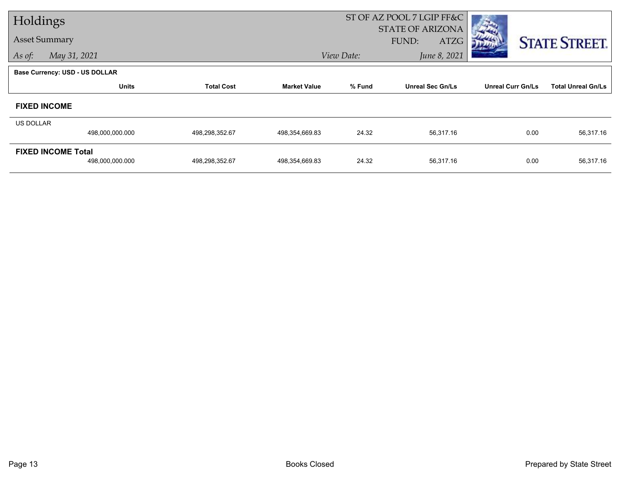| Holdings  |                                              |                   |                     | ST OF AZ POOL 7 LGIP FF&C |                                          |                          |                           |
|-----------|----------------------------------------------|-------------------|---------------------|---------------------------|------------------------------------------|--------------------------|---------------------------|
|           | <b>Asset Summary</b>                         |                   |                     |                           | STATE OF ARIZONA<br>FUND:<br><b>ATZG</b> |                          | <b>STATE STREET.</b>      |
| As of:    | May 31, 2021                                 |                   |                     | View Date:                | June 8, 2021                             |                          |                           |
|           | <b>Base Currency: USD - US DOLLAR</b>        |                   |                     |                           |                                          |                          |                           |
|           | <b>Units</b>                                 | <b>Total Cost</b> | <b>Market Value</b> | % Fund                    | <b>Unreal Sec Gn/Ls</b>                  | <b>Unreal Curr Gn/Ls</b> | <b>Total Unreal Gn/Ls</b> |
|           | <b>FIXED INCOME</b>                          |                   |                     |                           |                                          |                          |                           |
| US DOLLAR |                                              |                   |                     |                           |                                          |                          |                           |
|           | 498,000,000.000                              | 498,298,352.67    | 498,354,669.83      | 24.32                     | 56,317.16                                | 0.00                     | 56,317.16                 |
|           | <b>FIXED INCOME Total</b><br>498,000,000.000 | 498,298,352.67    | 498,354,669.83      | 24.32                     | 56,317.16                                | 0.00                     | 56,317.16                 |
|           |                                              |                   |                     |                           |                                          |                          |                           |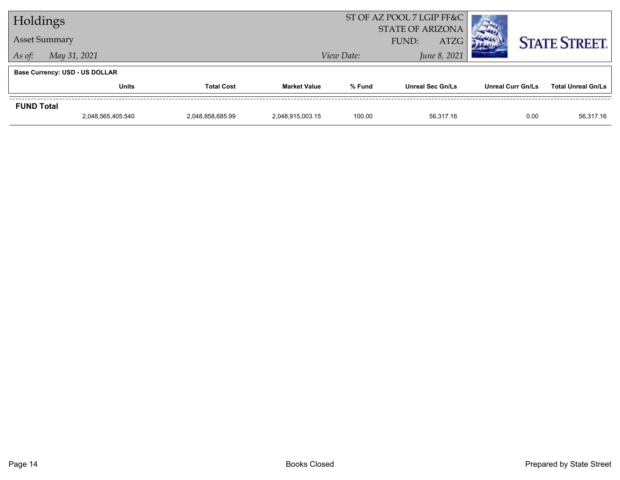| Holdings               |                                       |  |                     | ST OF AZ POOL 7 LGIP FF&C            |                         |                   |                           |
|------------------------|---------------------------------------|--|---------------------|--------------------------------------|-------------------------|-------------------|---------------------------|
| <b>Asset Summary</b>   |                                       |  |                     | <b>STATE OF ARIZONA</b>              |                         |                   |                           |
|                        |                                       |  |                     | <b>ATZG</b><br>FUND:<br>June 8, 2021 |                         |                   | <b>STATE STREET.</b>      |
| May 31, 2021<br>As of: |                                       |  |                     | View Date:                           |                         |                   |                           |
|                        | <b>Base Currency: USD - US DOLLAR</b> |  |                     |                                      |                         |                   |                           |
|                        | <b>Units</b><br><b>Total Cost</b>     |  | <b>Market Value</b> | % Fund                               | <b>Unreal Sec Gn/Ls</b> | Unreal Curr Gn/Ls | <b>Total Unreal Gn/Ls</b> |
| <b>FUND Total</b>      |                                       |  |                     |                                      |                         |                   |                           |
|                        |                                       |  |                     |                                      |                         |                   |                           |